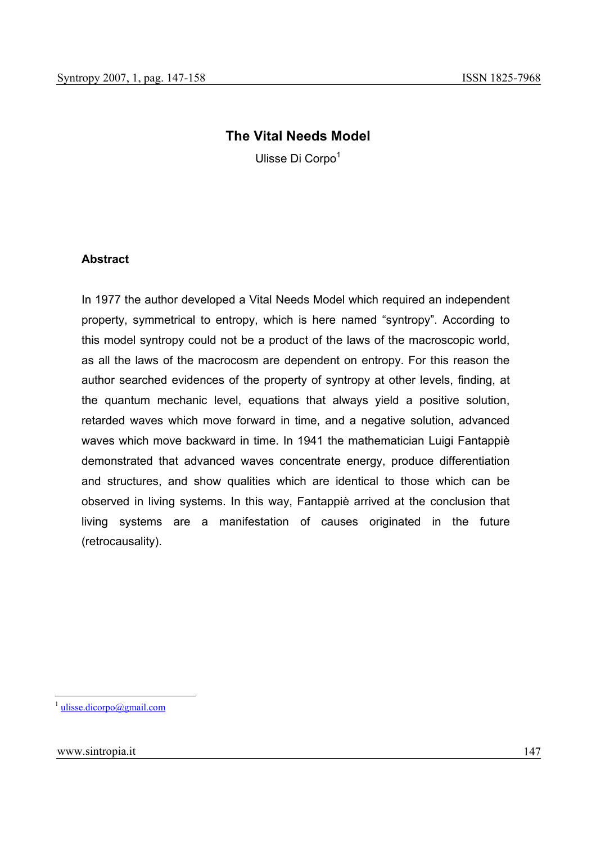# **The Vital Needs Model**

Ulisse Di Corpo<sup>1</sup>

### **Abstract**

In 1977 the author developed a Vital Needs Model which required an independent property, symmetrical to entropy, which is here named "syntropy". According to this model syntropy could not be a product of the laws of the macroscopic world, as all the laws of the macrocosm are dependent on entropy. For this reason the author searched evidences of the property of syntropy at other levels, finding, at the quantum mechanic level, equations that always yield a positive solution, retarded waves which move forward in time, and a negative solution, advanced waves which move backward in time. In 1941 the mathematician Luigi Fantappiè demonstrated that advanced waves concentrate energy, produce differentiation and structures, and show qualities which are identical to those which can be observed in living systems. In this way, Fantappiè arrived at the conclusion that living systems are a manifestation of causes originated in the future (retrocausality).

<sup>&</sup>lt;sup>1</sup> ulisse.dicorpo@gmail.com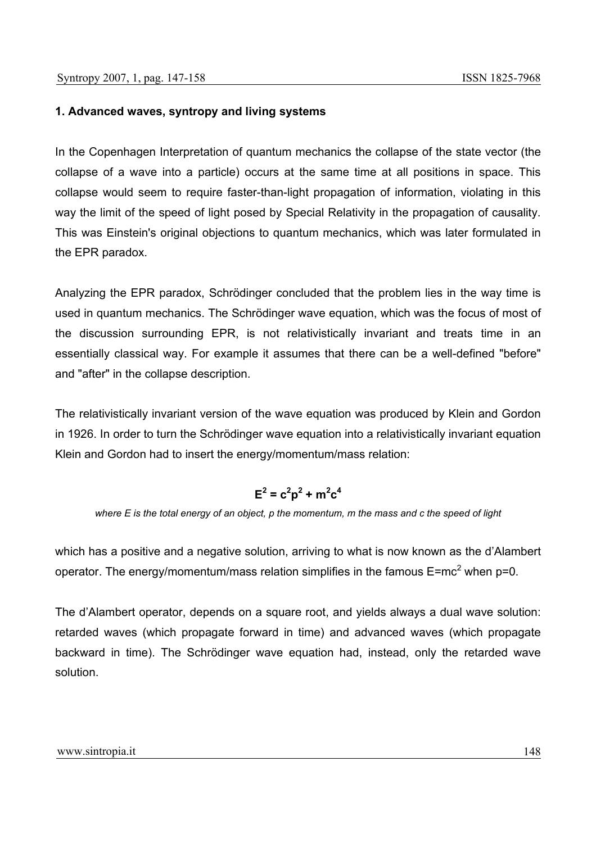## **1. Advanced waves, syntropy and living systems**

In the Copenhagen Interpretation of quantum mechanics the collapse of the state vector (the collapse of a wave into a particle) occurs at the same time at all positions in space. This collapse would seem to require faster-than-light propagation of information, violating in this way the limit of the speed of light posed by Special Relativity in the propagation of causality. This was Einstein's original objections to quantum mechanics, which was later formulated in the EPR paradox.

Analyzing the EPR paradox, Schrödinger concluded that the problem lies in the way time is used in quantum mechanics. The Schrödinger wave equation, which was the focus of most of the discussion surrounding EPR, is not relativistically invariant and treats time in an essentially classical way. For example it assumes that there can be a well-defined "before" and "after" in the collapse description.

The relativistically invariant version of the wave equation was produced by Klein and Gordon in 1926. In order to turn the Schrödinger wave equation into a relativistically invariant equation Klein and Gordon had to insert the energy/momentum/mass relation:

$$
\mathsf{E}^2 = \mathsf{c}^2 \mathsf{p}^2 + \mathsf{m}^2 \mathsf{c}^4
$$

*where E is the total energy of an object, p the momentum, m the mass and c the speed of light* 

which has a positive and a negative solution, arriving to what is now known as the d'Alambert operator. The energy/momentum/mass relation simplifies in the famous  $\mathsf{E}=\mathsf{mc}^2$  when p=0.

The d'Alambert operator, depends on a square root, and yields always a dual wave solution: retarded waves (which propagate forward in time) and advanced waves (which propagate backward in time). The Schrödinger wave equation had, instead, only the retarded wave solution.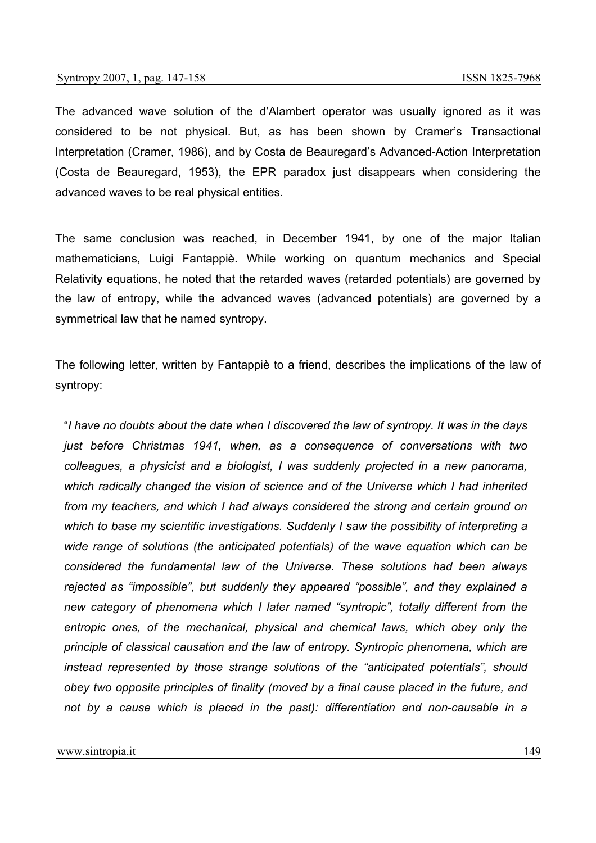The advanced wave solution of the d'Alambert operator was usually ignored as it was considered to be not physical. But, as has been shown by Cramer's Transactional Interpretation (Cramer, 1986), and by Costa de Beauregard's Advanced-Action Interpretation (Costa de Beauregard, 1953), the EPR paradox just disappears when considering the advanced waves to be real physical entities.

The same conclusion was reached, in December 1941, by one of the major Italian mathematicians, Luigi Fantappiè. While working on quantum mechanics and Special Relativity equations, he noted that the retarded waves (retarded potentials) are governed by the law of entropy, while the advanced waves (advanced potentials) are governed by a symmetrical law that he named syntropy.

The following letter, written by Fantappiè to a friend, describes the implications of the law of syntropy:

"*I have no doubts about the date when I discovered the law of syntropy. It was in the days just before Christmas 1941, when, as a consequence of conversations with two colleagues, a physicist and a biologist, I was suddenly projected in a new panorama, which radically changed the vision of science and of the Universe which I had inherited from my teachers, and which I had always considered the strong and certain ground on which to base my scientific investigations. Suddenly I saw the possibility of interpreting a wide range of solutions (the anticipated potentials) of the wave equation which can be considered the fundamental law of the Universe. These solutions had been always rejected as "impossible", but suddenly they appeared "possible", and they explained a new category of phenomena which I later named "syntropic", totally different from the entropic ones, of the mechanical, physical and chemical laws, which obey only the principle of classical causation and the law of entropy. Syntropic phenomena, which are instead represented by those strange solutions of the "anticipated potentials", should obey two opposite principles of finality (moved by a final cause placed in the future, and*  not by a cause which is placed in the past); differentiation and non-causable in a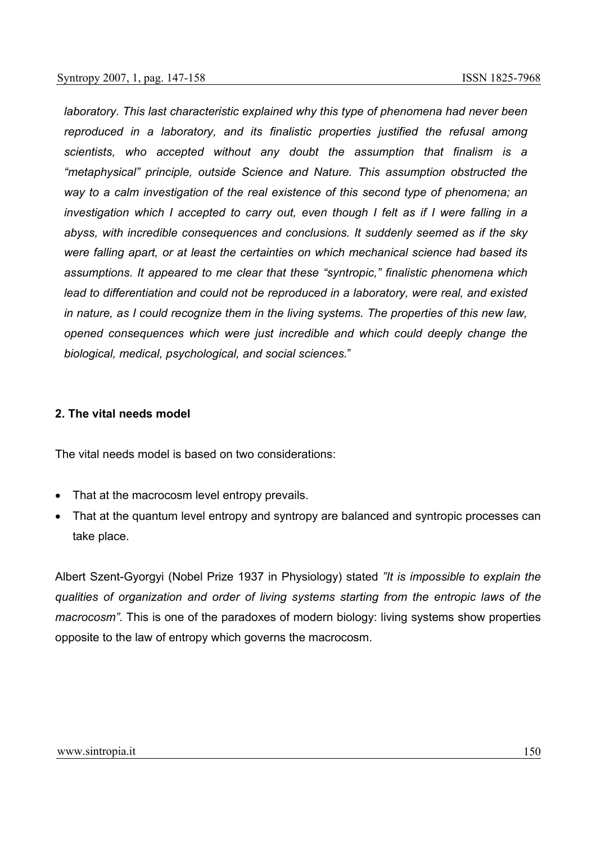*laboratory. This last characteristic explained why this type of phenomena had never been reproduced in a laboratory, and its finalistic properties justified the refusal among scientists, who accepted without any doubt the assumption that finalism is a "metaphysical" principle, outside Science and Nature. This assumption obstructed the way to a calm investigation of the real existence of this second type of phenomena; an investigation which I accepted to carry out, even though I felt as if I were falling in a abyss, with incredible consequences and conclusions. It suddenly seemed as if the sky were falling apart, or at least the certainties on which mechanical science had based its assumptions. It appeared to me clear that these "syntropic," finalistic phenomena which*  lead to differentiation and could not be reproduced in a laboratory, were real, and existed *in nature, as I could recognize them in the living systems. The properties of this new law, opened consequences which were just incredible and which could deeply change the biological, medical, psychological, and social sciences.*"

### **2. The vital needs model**

The vital needs model is based on two considerations:

- That at the macrocosm level entropy prevails.
- That at the quantum level entropy and syntropy are balanced and syntropic processes can take place.

Albert Szent-Gyorgyi (Nobel Prize 1937 in Physiology) stated *"It is impossible to explain the qualities of organization and order of living systems starting from the entropic laws of the macrocosm*". This is one of the paradoxes of modern biology: living systems show properties opposite to the law of entropy which governs the macrocosm.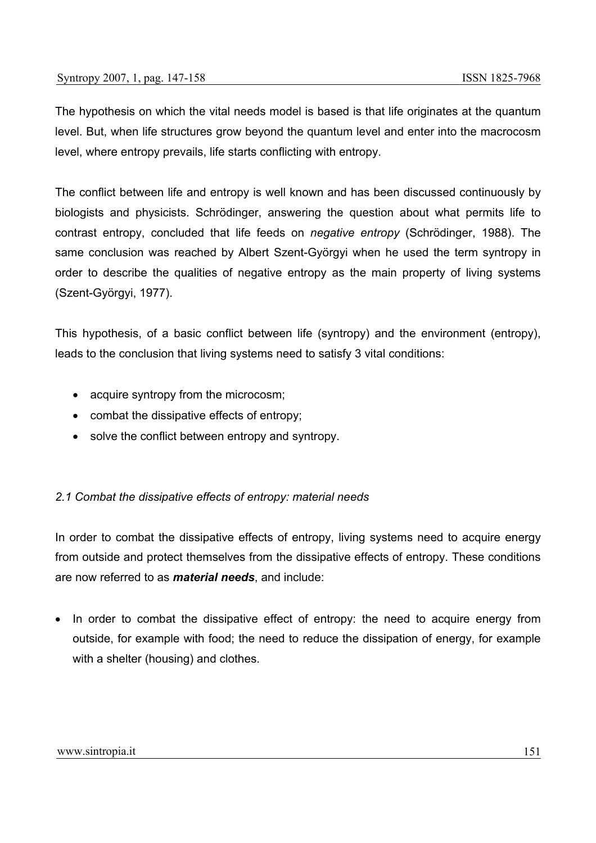The hypothesis on which the vital needs model is based is that life originates at the quantum level. But, when life structures grow beyond the quantum level and enter into the macrocosm level, where entropy prevails, life starts conflicting with entropy.

The conflict between life and entropy is well known and has been discussed continuously by biologists and physicists. Schrödinger, answering the question about what permits life to contrast entropy, concluded that life feeds on *negative entropy* (Schrödinger, 1988). The same conclusion was reached by Albert Szent-Györgyi when he used the term syntropy in order to describe the qualities of negative entropy as the main property of living systems (Szent-Györgyi, 1977).

This hypothesis, of a basic conflict between life (syntropy) and the environment (entropy), leads to the conclusion that living systems need to satisfy 3 vital conditions:

- acquire syntropy from the microcosm;
- combat the dissipative effects of entropy;
- solve the conflict between entropy and syntropy.

## *2.1 Combat the dissipative effects of entropy: material needs*

In order to combat the dissipative effects of entropy, living systems need to acquire energy from outside and protect themselves from the dissipative effects of entropy. These conditions are now referred to as *material needs*, and include:

• In order to combat the dissipative effect of entropy: the need to acquire energy from outside, for example with food; the need to reduce the dissipation of energy, for example with a shelter (housing) and clothes.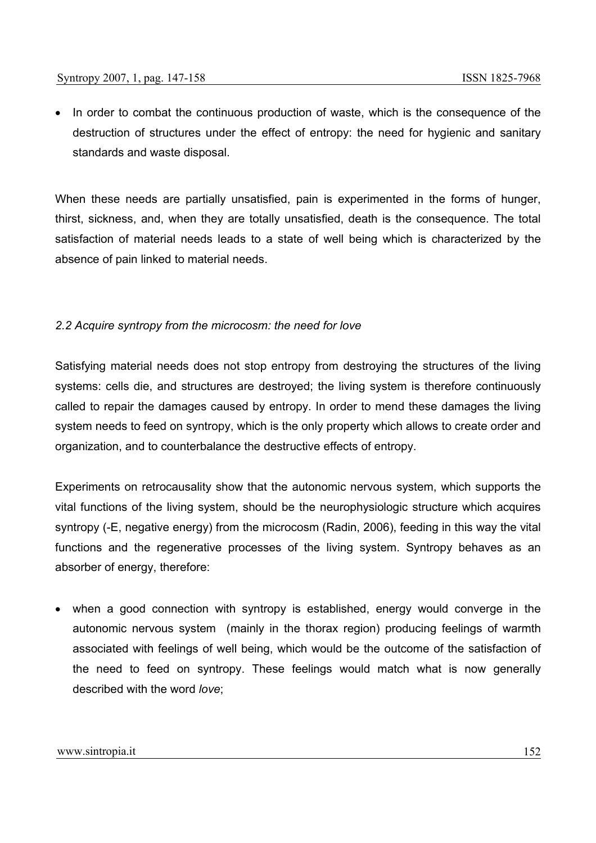• In order to combat the continuous production of waste, which is the consequence of the destruction of structures under the effect of entropy: the need for hygienic and sanitary standards and waste disposal.

When these needs are partially unsatisfied, pain is experimented in the forms of hunger, thirst, sickness, and, when they are totally unsatisfied, death is the consequence. The total satisfaction of material needs leads to a state of well being which is characterized by the absence of pain linked to material needs.

### *2.2 Acquire syntropy from the microcosm: the need for love*

Satisfying material needs does not stop entropy from destroying the structures of the living systems: cells die, and structures are destroyed; the living system is therefore continuously called to repair the damages caused by entropy. In order to mend these damages the living system needs to feed on syntropy, which is the only property which allows to create order and organization, and to counterbalance the destructive effects of entropy.

Experiments on retrocausality show that the autonomic nervous system, which supports the vital functions of the living system, should be the neurophysiologic structure which acquires syntropy (-E, negative energy) from the microcosm (Radin, 2006), feeding in this way the vital functions and the regenerative processes of the living system. Syntropy behaves as an absorber of energy, therefore:

• when a good connection with syntropy is established, energy would converge in the autonomic nervous system (mainly in the thorax region) producing feelings of warmth associated with feelings of well being, which would be the outcome of the satisfaction of the need to feed on syntropy. These feelings would match what is now generally described with the word *love*;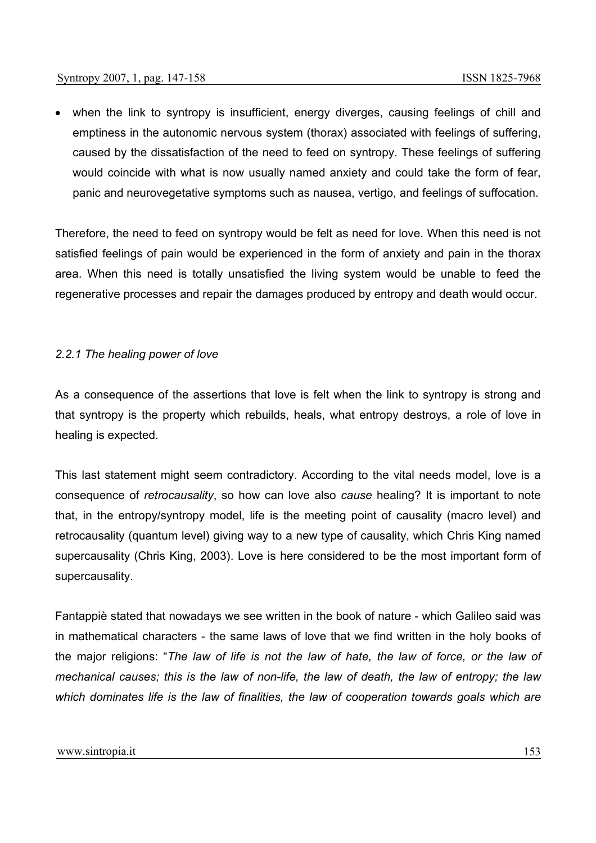#### Syntropy 2007, 1, pag. 147-158 ISSN 1825-7968

• when the link to syntropy is insufficient, energy diverges, causing feelings of chill and emptiness in the autonomic nervous system (thorax) associated with feelings of suffering, caused by the dissatisfaction of the need to feed on syntropy. These feelings of suffering would coincide with what is now usually named anxiety and could take the form of fear, panic and neurovegetative symptoms such as nausea, vertigo, and feelings of suffocation.

Therefore, the need to feed on syntropy would be felt as need for love. When this need is not satisfied feelings of pain would be experienced in the form of anxiety and pain in the thorax area. When this need is totally unsatisfied the living system would be unable to feed the regenerative processes and repair the damages produced by entropy and death would occur.

### *2.2.1 The healing power of love*

As a consequence of the assertions that love is felt when the link to syntropy is strong and that syntropy is the property which rebuilds, heals, what entropy destroys, a role of love in healing is expected.

This last statement might seem contradictory. According to the vital needs model, love is a consequence of *retrocausality*, so how can love also *cause* healing? It is important to note that, in the entropy/syntropy model, life is the meeting point of causality (macro level) and retrocausality (quantum level) giving way to a new type of causality, which Chris King named supercausality (Chris King, 2003). Love is here considered to be the most important form of supercausality.

Fantappiè stated that nowadays we see written in the book of nature - which Galileo said was in mathematical characters - the same laws of love that we find written in the holy books of the major religions: "*The law of life is not the law of hate, the law of force, or the law of mechanical causes; this is the law of non-life, the law of death, the law of entropy; the law which dominates life is the law of finalities, the law of cooperation towards goals which are* 

#### www.sintropia.it 153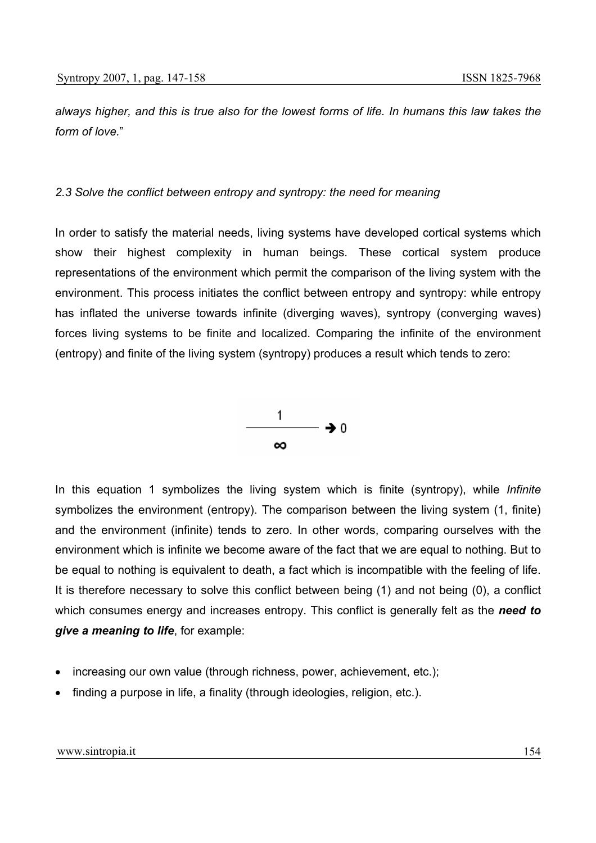*always higher, and this is true also for the lowest forms of life. In humans this law takes the form of love.*"

#### *2.3 Solve the conflict between entropy and syntropy: the need for meaning*

In order to satisfy the material needs, living systems have developed cortical systems which show their highest complexity in human beings. These cortical system produce representations of the environment which permit the comparison of the living system with the environment. This process initiates the conflict between entropy and syntropy: while entropy has inflated the universe towards infinite (diverging waves), syntropy (converging waves) forces living systems to be finite and localized. Comparing the infinite of the environment (entropy) and finite of the living system (syntropy) produces a result which tends to zero:



In this equation 1 symbolizes the living system which is finite (syntropy), while *Infinite* symbolizes the environment (entropy). The comparison between the living system (1, finite) and the environment (infinite) tends to zero. In other words, comparing ourselves with the environment which is infinite we become aware of the fact that we are equal to nothing. But to be equal to nothing is equivalent to death, a fact which is incompatible with the feeling of life. It is therefore necessary to solve this conflict between being (1) and not being (0), a conflict which consumes energy and increases entropy. This conflict is generally felt as the *need to give a meaning to life*, for example:

- increasing our own value (through richness, power, achievement, etc.);
- finding a purpose in life, a finality (through ideologies, religion, etc.).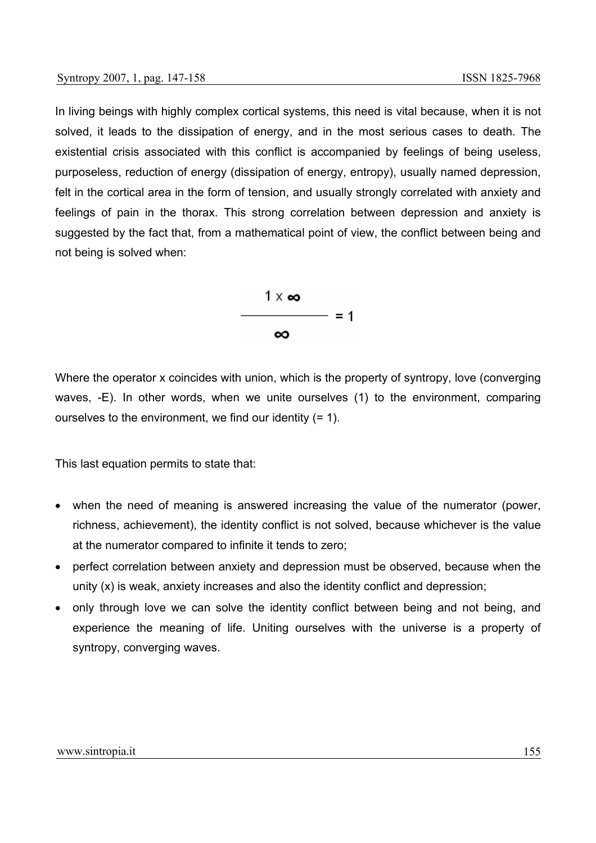In living beings with highly complex cortical systems, this need is vital because, when it is not solved, it leads to the dissipation of energy, and in the most serious cases to death. The existential crisis associated with this conflict is accompanied by feelings of being useless, purposeless, reduction of energy (dissipation of energy, entropy), usually named depression, felt in the cortical area in the form of tension, and usually strongly correlated with anxiety and feelings of pain in the thorax. This strong correlation between depression and anxiety is suggested by the fact that, from a mathematical point of view, the conflict between being and not being is solved when:



Where the operator x coincides with union, which is the property of syntropy, love (converging waves, -E). In other words, when we unite ourselves (1) to the environment, comparing ourselves to the environment, we find our identity (= 1).

This last equation permits to state that:

- when the need of meaning is answered increasing the value of the numerator (power, richness, achievement), the identity conflict is not solved, because whichever is the value at the numerator compared to infinite it tends to zero;
- perfect correlation between anxiety and depression must be observed, because when the unity (x) is weak, anxiety increases and also the identity conflict and depression;
- only through love we can solve the identity conflict between being and not being, and experience the meaning of life. Uniting ourselves with the universe is a property of syntropy, converging waves.

#### www.sintropia.it 155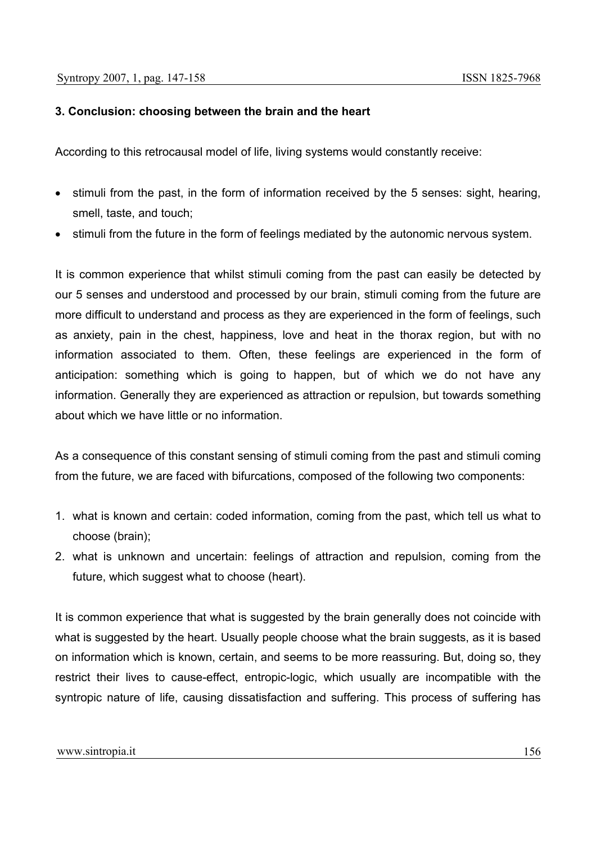## **3. Conclusion: choosing between the brain and the heart**

According to this retrocausal model of life, living systems would constantly receive:

- stimuli from the past, in the form of information received by the 5 senses: sight, hearing, smell, taste, and touch;
- stimuli from the future in the form of feelings mediated by the autonomic nervous system.

It is common experience that whilst stimuli coming from the past can easily be detected by our 5 senses and understood and processed by our brain, stimuli coming from the future are more difficult to understand and process as they are experienced in the form of feelings, such as anxiety, pain in the chest, happiness, love and heat in the thorax region, but with no information associated to them. Often, these feelings are experienced in the form of anticipation: something which is going to happen, but of which we do not have any information. Generally they are experienced as attraction or repulsion, but towards something about which we have little or no information.

As a consequence of this constant sensing of stimuli coming from the past and stimuli coming from the future, we are faced with bifurcations, composed of the following two components:

- 1. what is known and certain: coded information, coming from the past, which tell us what to choose (brain);
- 2. what is unknown and uncertain: feelings of attraction and repulsion, coming from the future, which suggest what to choose (heart).

It is common experience that what is suggested by the brain generally does not coincide with what is suggested by the heart. Usually people choose what the brain suggests, as it is based on information which is known, certain, and seems to be more reassuring. But, doing so, they restrict their lives to cause-effect, entropic-logic, which usually are incompatible with the syntropic nature of life, causing dissatisfaction and suffering. This process of suffering has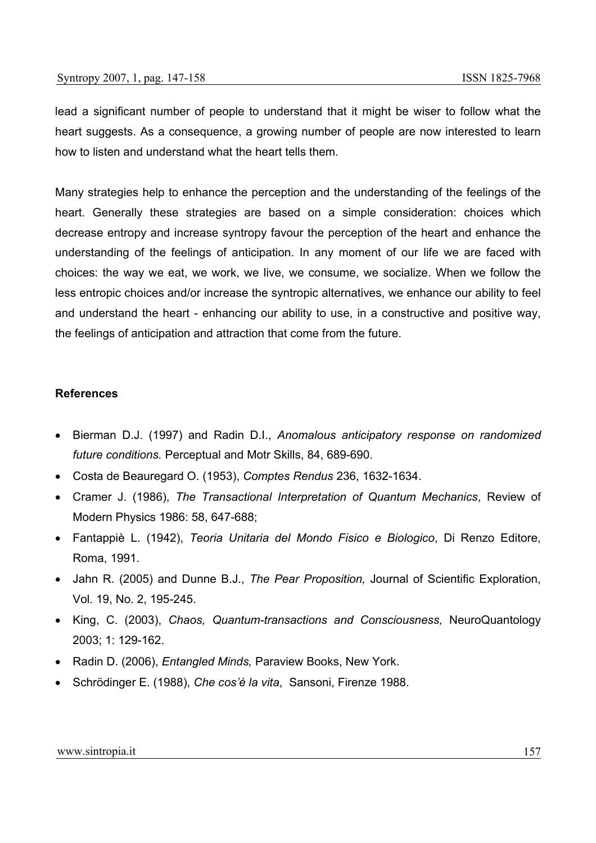lead a significant number of people to understand that it might be wiser to follow what the heart suggests. As a consequence, a growing number of people are now interested to learn how to listen and understand what the heart tells them.

Many strategies help to enhance the perception and the understanding of the feelings of the heart. Generally these strategies are based on a simple consideration: choices which decrease entropy and increase syntropy favour the perception of the heart and enhance the understanding of the feelings of anticipation. In any moment of our life we are faced with choices: the way we eat, we work, we live, we consume, we socialize. When we follow the less entropic choices and/or increase the syntropic alternatives, we enhance our ability to feel and understand the heart - enhancing our ability to use, in a constructive and positive way, the feelings of anticipation and attraction that come from the future.

### **References**

- Bierman D.J. (1997) and Radin D.I., *Anomalous anticipatory response on randomized future conditions.* Perceptual and Motr Skills, 84, 689-690.
- Costa de Beauregard O. (1953), *Comptes Rendus* 236, 1632-1634.
- Cramer J. (1986), *The Transactional Interpretation of Quantum Mechanics*, Review of Modern Physics 1986: 58, 647-688;
- Fantappiè L. (1942), *Teoria Unitaria del Mondo Fisico e Biologico*, Di Renzo Editore, Roma, 1991.
- Jahn R. (2005) and Dunne B.J., *The Pear Proposition,* Journal of Scientific Exploration, Vol. 19, No. 2, 195-245.
- King, C. (2003), *Chaos, Quantum-transactions and Consciousness,* NeuroQuantology 2003; 1: 129-162.
- Radin D. (2006), *Entangled Minds,* Paraview Books, New York.
- Schrödinger E. (1988), *Che cos'è la vita*, Sansoni, Firenze 1988.